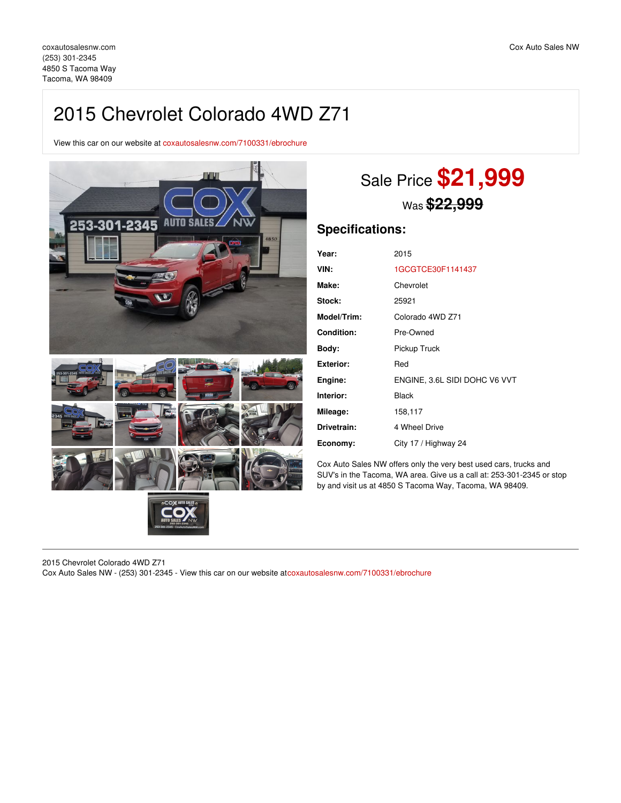## 2015 Chevrolet Colorado 4WD Z71

View this car on our website at [coxautosalesnw.com/7100331/ebrochure](https://coxautosalesnw.com/vehicle/7100331/2015-chevrolet-colorado-4wd-z71-tacoma-wa-98409/7100331/ebrochure)



# Sale Price **\$21,999** Was **\$22,999**

## **Specifications:**

| Year:              | 2015                          |
|--------------------|-------------------------------|
| VIN:               | 1GCGTCE30F1141437             |
| Make:              | Chevrolet                     |
| <b>Stock:</b>      | 25921                         |
| <b>Model/Trim:</b> | Colorado 4WD Z71              |
| <b>Condition:</b>  | Pre-Owned                     |
| Body:              | Pickup Truck                  |
| Exterior:          | Red                           |
| Engine:            | ENGINE, 3.6L SIDI DOHC V6 VVT |
| Interior:          | Black                         |
| Mileage:           | 158,117                       |
| Drivetrain:        | 4 Wheel Drive                 |
| Economy:           | City 17 / Highway 24          |

Cox Auto Sales NW offers only the very best used cars, trucks and SUV's in the Tacoma, WA area. Give us a call at: 253-301-2345 or stop by and visit us at 4850 S Tacoma Way, Tacoma, WA 98409.

2015 Chevrolet Colorado 4WD Z71 Cox Auto Sales NW - (253) 301-2345 - View this car on our website at[coxautosalesnw.com/7100331/ebrochure](https://coxautosalesnw.com/vehicle/7100331/2015-chevrolet-colorado-4wd-z71-tacoma-wa-98409/7100331/ebrochure)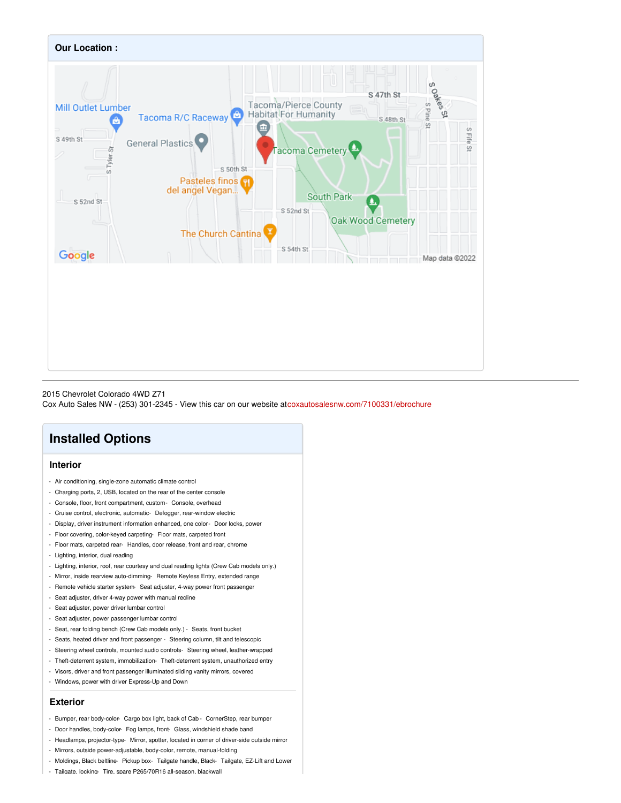

#### 2015 Chevrolet Colorado 4WD Z71

Cox Auto Sales NW - (253) 301-2345 - View this car on our website at[coxautosalesnw.com/7100331/ebrochure](https://coxautosalesnw.com/vehicle/7100331/2015-chevrolet-colorado-4wd-z71-tacoma-wa-98409/7100331/ebrochure)

## **Installed Options**

#### **Interior**

- Air conditioning, single-zone automatic climate control
- Charging ports, 2, USB, located on the rear of the center console
- Console, floor, front compartment, custom- Console, overhead
- Cruise control, electronic, automatic- Defogger, rear-window electric
- Display, driver instrument information enhanced, one color- Door locks, power
- Floor covering, color-keyed carpeting- Floor mats, carpeted front
- Floor mats, carpeted rear- Handles, door release, front and rear, chrome
- Lighting, interior, dual reading
- Lighting, interior, roof, rear courtesy and dual reading lights (Crew Cab models only.)
- Mirror, inside rearview auto-dimming- Remote Keyless Entry, extended range
- Remote vehicle starter system- Seat adjuster, 4-way power front passenger
- Seat adjuster, driver 4-way power with manual recline
- Seat adjuster, power driver lumbar control
- Seat adjuster, power passenger lumbar control
- Seat, rear folding bench (Crew Cab models only.) Seats, front bucket
- Seats, heated driver and front passenger Steering column, tilt and telescopic
- Steering wheel controls, mounted audio controls- Steering wheel, leather-wrapped
- Theft-deterrent system, immobilization- Theft-deterrent system, unauthorized entry
- Visors, driver and front passenger illuminated sliding vanity mirrors, covered
- Windows, power with driver Express-Up and Down

#### **Exterior**

- Bumper, rear body-color- Cargo box light, back of Cab CornerStep, rear bumper
- Door handles, body-color- Fog lamps, front- Glass, windshield shade band
- Headlamps, projector-type- Mirror, spotter, located in corner of driver-side outside mirror
- Mirrors, outside power-adjustable, body-color, remote, manual-folding
- Moldings, Black beltline- Pickup box- Tailgate handle, Black- Tailgate, EZ-Lift and Lower
- Tailgate, locking- Tire, spare P265/70R16 all-season, blackwall